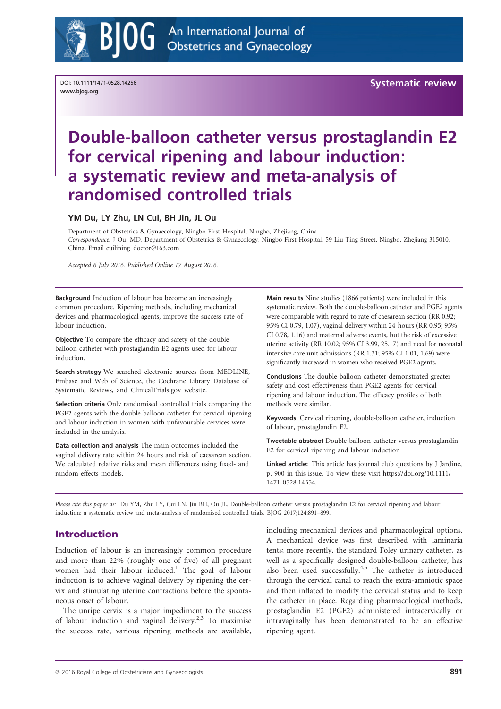

DOI: 10.1111/1471-0528.14256 www.bjog.org

Systematic review

# Double-balloon catheter versus prostaglandin E2 for cervical ripening and labour induction: a systematic review and meta-analysis of randomised controlled trials

# YM Du, LY Zhu, LN Cui, BH Jin, JL Ou

Department of Obstetrics & Gynaecology, Ningbo First Hospital, Ningbo, Zhejiang, China Correspondence: J Ou, MD, Department of Obstetrics & Gynaecology, Ningbo First Hospital, 59 Liu Ting Street, Ningbo, Zhejiang 315010, China. Email cuilining\_doctor@163.com

Accepted 6 July 2016. Published Online 17 August 2016.

Background Induction of labour has become an increasingly common procedure. Ripening methods, including mechanical devices and pharmacological agents, improve the success rate of labour induction.

Objective To compare the efficacy and safety of the doubleballoon catheter with prostaglandin E2 agents used for labour induction.

Search strategy We searched electronic sources from MEDLINE, Embase and Web of Science, the Cochrane Library Database of Systematic Reviews, and ClinicalTrials.gov website.

Selection criteria Only randomised controlled trials comparing the PGE2 agents with the double-balloon catheter for cervical ripening and labour induction in women with unfavourable cervices were included in the analysis.

Data collection and analysis The main outcomes included the vaginal delivery rate within 24 hours and risk of caesarean section. We calculated relative risks and mean differences using fixed- and random-effects models.

Main results Nine studies (1866 patients) were included in this systematic review. Both the double-balloon catheter and PGE2 agents were comparable with regard to rate of caesarean section (RR 0.92; 95% CI 0.79, 1.07), vaginal delivery within 24 hours (RR 0.95; 95% CI 0.78, 1.16) and maternal adverse events, but the risk of excessive uterine activity (RR 10.02; 95% CI 3.99, 25.17) and need for neonatal intensive care unit admissions (RR 1.31; 95% CI 1.01, 1.69) were significantly increased in women who received PGE2 agents.

Conclusions The double-balloon catheter demonstrated greater safety and cost-effectiveness than PGE2 agents for cervical ripening and labour induction. The efficacy profiles of both methods were similar.

Keywords Cervical ripening, double-balloon catheter, induction of labour, prostaglandin E2.

Tweetable abstract Double-balloon catheter versus prostaglandin E2 for cervical ripening and labour induction

Linked article: This article has journal club questions by J Jardine, p. 900 in this issue. To view these visit [https://doi.org/10.1111/](https://doi.org/10.1111/1471-0528.14554) [1471-0528.14554.](https://doi.org/10.1111/1471-0528.14554)

Please cite this paper as: Du YM, Zhu LY, Cui LN, Jin BH, Ou JL. Double-balloon catheter versus prostaglandin E2 for cervical ripening and labour induction: a systematic review and meta-analysis of randomised controlled trials. BJOG 2017;124:891–899.

# Introduction

Induction of labour is an increasingly common procedure and more than 22% (roughly one of five) of all pregnant women had their labour induced. $1$  The goal of labour induction is to achieve vaginal delivery by ripening the cervix and stimulating uterine contractions before the spontaneous onset of labour.

The unripe cervix is a major impediment to the success of labour induction and vaginal delivery.<sup>2,3</sup> To maximise the success rate, various ripening methods are available, including mechanical devices and pharmacological options. A mechanical device was first described with laminaria tents; more recently, the standard Foley urinary catheter, as well as a specifically designed double-balloon catheter, has also been used successfully. $4,5$  The catheter is introduced through the cervical canal to reach the extra-amniotic space and then inflated to modify the cervical status and to keep the catheter in place. Regarding pharmacological methods, prostaglandin E2 (PGE2) administered intracervically or intravaginally has been demonstrated to be an effective ripening agent.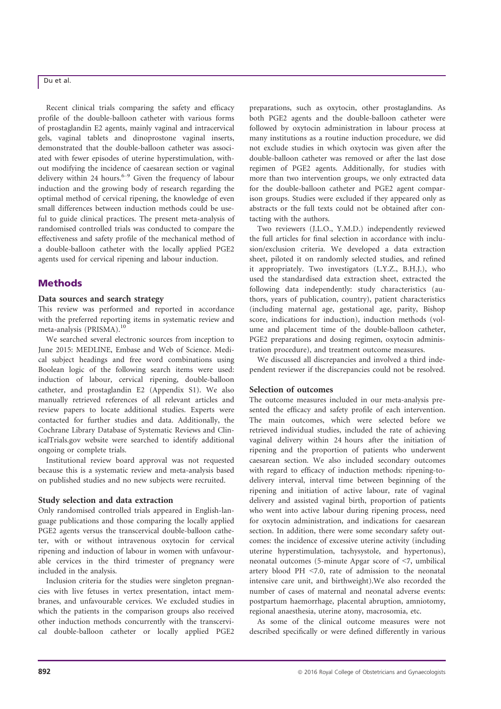Recent clinical trials comparing the safety and efficacy profile of the double-balloon catheter with various forms of prostaglandin E2 agents, mainly vaginal and intracervical gels, vaginal tablets and dinoprostone vaginal inserts, demonstrated that the double-balloon catheter was associated with fewer episodes of uterine hyperstimulation, without modifying the incidence of caesarean section or vaginal delivery within 24 hours. $6-9$  Given the frequency of labour induction and the growing body of research regarding the optimal method of cervical ripening, the knowledge of even small differences between induction methods could be useful to guide clinical practices. The present meta-analysis of randomised controlled trials was conducted to compare the effectiveness and safety profile of the mechanical method of a double-balloon catheter with the locally applied PGE2 agents used for cervical ripening and labour induction.

# Methods

# Data sources and search strategy

This review was performed and reported in accordance with the preferred reporting items in systematic review and meta-analysis (PRISMA).<sup>10</sup>

We searched several electronic sources from inception to June 2015: MEDLINE, Embase and Web of Science. Medical subject headings and free word combinations using Boolean logic of the following search items were used: induction of labour, cervical ripening, double-balloon catheter, and prostaglandin E2 (Appendix S1). We also manually retrieved references of all relevant articles and review papers to locate additional studies. Experts were contacted for further studies and data. Additionally, the Cochrane Library Database of Systematic Reviews and ClinicalTrials.gov website were searched to identify additional ongoing or complete trials.

Institutional review board approval was not requested because this is a systematic review and meta-analysis based on published studies and no new subjects were recruited.

# Study selection and data extraction

Only randomised controlled trials appeared in English-language publications and those comparing the locally applied PGE2 agents versus the transcervical double-balloon catheter, with or without intravenous oxytocin for cervical ripening and induction of labour in women with unfavourable cervices in the third trimester of pregnancy were included in the analysis.

Inclusion criteria for the studies were singleton pregnancies with live fetuses in vertex presentation, intact membranes, and unfavourable cervices. We excluded studies in which the patients in the comparison groups also received other induction methods concurrently with the transcervical double-balloon catheter or locally applied PGE2

preparations, such as oxytocin, other prostaglandins. As both PGE2 agents and the double-balloon catheter were followed by oxytocin administration in labour process at many institutions as a routine induction procedure, we did not exclude studies in which oxytocin was given after the double-balloon catheter was removed or after the last dose regimen of PGE2 agents. Additionally, for studies with more than two intervention groups, we only extracted data for the double-balloon catheter and PGE2 agent comparison groups. Studies were excluded if they appeared only as abstracts or the full texts could not be obtained after contacting with the authors.

Two reviewers (J.L.O., Y.M.D.) independently reviewed the full articles for final selection in accordance with inclusion/exclusion criteria. We developed a data extraction sheet, piloted it on randomly selected studies, and refined it appropriately. Two investigators (L.Y.Z., B.H.J.), who used the standardised data extraction sheet, extracted the following data independently: study characteristics (authors, years of publication, country), patient characteristics (including maternal age, gestational age, parity, Bishop score, indications for induction), induction methods (volume and placement time of the double-balloon catheter, PGE2 preparations and dosing regimen, oxytocin administration procedure), and treatment outcome measures.

We discussed all discrepancies and involved a third independent reviewer if the discrepancies could not be resolved.

#### Selection of outcomes

The outcome measures included in our meta-analysis presented the efficacy and safety profile of each intervention. The main outcomes, which were selected before we retrieved individual studies, included the rate of achieving vaginal delivery within 24 hours after the initiation of ripening and the proportion of patients who underwent caesarean section. We also included secondary outcomes with regard to efficacy of induction methods: ripening-todelivery interval, interval time between beginning of the ripening and initiation of active labour, rate of vaginal delivery and assisted vaginal birth, proportion of patients who went into active labour during ripening process, need for oxytocin administration, and indications for caesarean section. In addition, there were some secondary safety outcomes: the incidence of excessive uterine activity (including uterine hyperstimulation, tachysystole, and hypertonus), neonatal outcomes (5-minute Apgar score of <7, umbilical artery blood PH <7.0, rate of admission to the neonatal intensive care unit, and birthweight).We also recorded the number of cases of maternal and neonatal adverse events: postpartum haemorrhage, placental abruption, amniotomy, regional anaesthesia, uterine atony, macrosomia, etc.

As some of the clinical outcome measures were not described specifically or were defined differently in various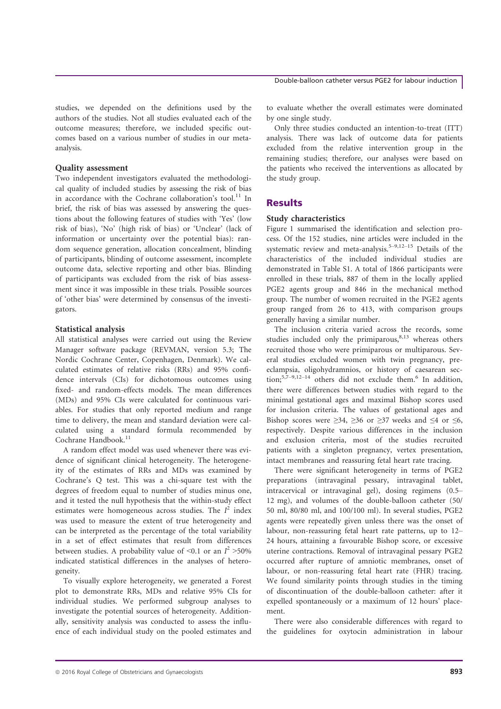studies, we depended on the definitions used by the authors of the studies. Not all studies evaluated each of the outcome measures; therefore, we included specific outcomes based on a various number of studies in our metaanalysis.

## Quality assessment

Two independent investigators evaluated the methodological quality of included studies by assessing the risk of bias in accordance with the Cochrane collaboration's tool.<sup>11</sup> In brief, the risk of bias was assessed by answering the questions about the following features of studies with 'Yes' (low risk of bias), 'No' (high risk of bias) or 'Unclear' (lack of information or uncertainty over the potential bias): random sequence generation, allocation concealment, blinding of participants, blinding of outcome assessment, incomplete outcome data, selective reporting and other bias. Blinding of participants was excluded from the risk of bias assessment since it was impossible in these trials. Possible sources of 'other bias' were determined by consensus of the investigators.

## Statistical analysis

All statistical analyses were carried out using the Review Manager software package (REVMAN, version 5.3; The Nordic Cochrane Center, Copenhagen, Denmark). We calculated estimates of relative risks (RRs) and 95% confidence intervals (CIs) for dichotomous outcomes using fixed- and random-effects models. The mean differences (MDs) and 95% CIs were calculated for continuous variables. For studies that only reported medium and range time to delivery, the mean and standard deviation were calculated using a standard formula recommended by Cochrane Handbook.<sup>11</sup>

A random effect model was used whenever there was evidence of significant clinical heterogeneity. The heterogeneity of the estimates of RRs and MDs was examined by Cochrane's Q test. This was a chi-square test with the degrees of freedom equal to number of studies minus one, and it tested the null hypothesis that the within-study effect estimates were homogeneous across studies. The  $I^2$  index was used to measure the extent of true heterogeneity and can be interpreted as the percentage of the total variability in a set of effect estimates that result from differences between studies. A probability value of <0.1 or an  $I^2 > 50\%$ indicated statistical differences in the analyses of heterogeneity.

To visually explore heterogeneity, we generated a Forest plot to demonstrate RRs, MDs and relative 95% CIs for individual studies. We performed subgroup analyses to investigate the potential sources of heterogeneity. Additionally, sensitivity analysis was conducted to assess the influence of each individual study on the pooled estimates and

to evaluate whether the overall estimates were dominated by one single study.

Only three studies conducted an intention-to-treat (ITT) analysis. There was lack of outcome data for patients excluded from the relative intervention group in the remaining studies; therefore, our analyses were based on the patients who received the interventions as allocated by the study group.

# **Results**

## Study characteristics

Figure 1 summarised the identification and selection process. Of the 152 studies, nine articles were included in the systematic review and meta-analysis.<sup>5–9,12–15</sup> Details of the characteristics of the included individual studies are demonstrated in Table S1. A total of 1866 participants were enrolled in these trials, 887 of them in the locally applied PGE2 agents group and 846 in the mechanical method group. The number of women recruited in the PGE2 agents group ranged from 26 to 413, with comparison groups generally having a similar number.

The inclusion criteria varied across the records, some studies included only the primiparous, $8,13$  whereas others recruited those who were primiparous or multiparous. Several studies excluded women with twin pregnancy, preeclampsia, oligohydramnios, or history of caesarean section; $5,7-9,12-14$  others did not exclude them.<sup>6</sup> In addition, there were differences between studies with regard to the minimal gestational ages and maximal Bishop scores used for inclusion criteria. The values of gestational ages and Bishop scores were  $\geq 34$ ,  $\geq 36$  or  $\geq 37$  weeks and  $\leq 4$  or  $\leq 6$ , respectively. Despite various differences in the inclusion and exclusion criteria, most of the studies recruited patients with a singleton pregnancy, vertex presentation, intact membranes and reassuring fetal heart rate tracing.

There were significant heterogeneity in terms of PGE2 preparations (intravaginal pessary, intravaginal tablet, intracervical or intravaginal gel), dosing regimens (0.5– 12 mg), and volumes of the double-balloon catheter (50/ 50 ml, 80/80 ml, and 100/100 ml). In several studies, PGE2 agents were repeatedly given unless there was the onset of labour, non-reassuring fetal heart rate patterns, up to 12– 24 hours, attaining a favourable Bishop score, or excessive uterine contractions. Removal of intravaginal pessary PGE2 occurred after rupture of amniotic membranes, onset of labour, or non-reassuring fetal heart rate (FHR) tracing. We found similarity points through studies in the timing of discontinuation of the double-balloon catheter: after it expelled spontaneously or a maximum of 12 hours' placement.

There were also considerable differences with regard to the guidelines for oxytocin administration in labour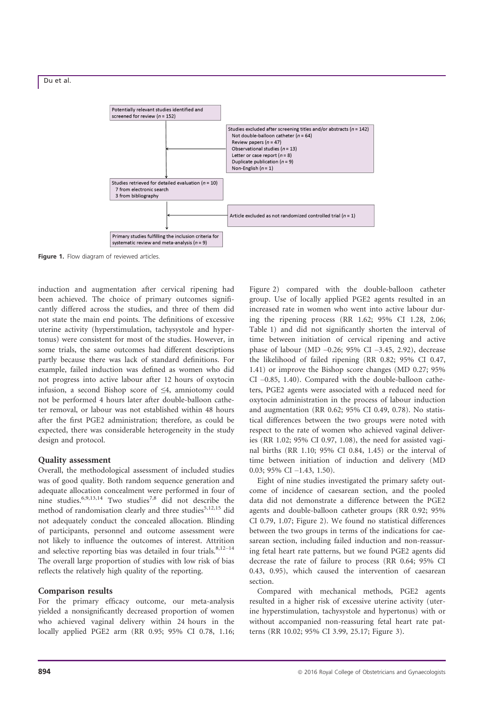

Figure 1. Flow diagram of reviewed articles.

induction and augmentation after cervical ripening had been achieved. The choice of primary outcomes significantly differed across the studies, and three of them did not state the main end points. The definitions of excessive uterine activity (hyperstimulation, tachysystole and hypertonus) were consistent for most of the studies. However, in some trials, the same outcomes had different descriptions partly because there was lack of standard definitions. For example, failed induction was defined as women who did not progress into active labour after 12 hours of oxytocin infusion, a second Bishop score of  $\leq 4$ , amniotomy could not be performed 4 hours later after double-balloon catheter removal, or labour was not established within 48 hours after the first PGE2 administration; therefore, as could be expected, there was considerable heterogeneity in the study design and protocol.

#### Quality assessment

Overall, the methodological assessment of included studies was of good quality. Both random sequence generation and adequate allocation concealment were performed in four of nine studies.<sup>6,9,13,14</sup> Two studies<sup>7,8</sup> did not describe the method of randomisation clearly and three studies<sup>5,12,15</sup> did not adequately conduct the concealed allocation. Blinding of participants, personnel and outcome assessment were not likely to influence the outcomes of interest. Attrition and selective reporting bias was detailed in four trials. $8,12-14$ The overall large proportion of studies with low risk of bias reflects the relatively high quality of the reporting.

#### Comparison results

For the primary efficacy outcome, our meta-analysis yielded a nonsignificantly decreased proportion of women who achieved vaginal delivery within 24 hours in the locally applied PGE2 arm (RR 0.95; 95% CI 0.78, 1.16; Figure 2) compared with the double-balloon catheter group. Use of locally applied PGE2 agents resulted in an increased rate in women who went into active labour during the ripening process (RR 1.62; 95% CI 1.28, 2.06; Table 1) and did not significantly shorten the interval of time between initiation of cervical ripening and active phase of labour (MD –0.26; 95% CI –3.45, 2.92), decrease the likelihood of failed ripening (RR 0.82; 95% CI 0.47, 1.41) or improve the Bishop score changes (MD 0.27; 95% CI –0.85, 1.40). Compared with the double-balloon catheters, PGE2 agents were associated with a reduced need for oxytocin administration in the process of labour induction and augmentation (RR 0.62; 95% CI 0.49, 0.78). No statistical differences between the two groups were noted with respect to the rate of women who achieved vaginal deliveries (RR 1.02; 95% CI 0.97, 1.08), the need for assisted vaginal births (RR 1.10; 95% CI 0.84, 1.45) or the interval of time between initiation of induction and delivery (MD 0.03; 95% CI  $-1.43$ , 1.50).

Eight of nine studies investigated the primary safety outcome of incidence of caesarean section, and the pooled data did not demonstrate a difference between the PGE2 agents and double-balloon catheter groups (RR 0.92; 95% CI 0.79, 1.07; Figure 2). We found no statistical differences between the two groups in terms of the indications for caesarean section, including failed induction and non-reassuring fetal heart rate patterns, but we found PGE2 agents did decrease the rate of failure to process (RR 0.64; 95% CI 0.43, 0.95), which caused the intervention of caesarean section.

Compared with mechanical methods, PGE2 agents resulted in a higher risk of excessive uterine activity (uterine hyperstimulation, tachysystole and hypertonus) with or without accompanied non-reassuring fetal heart rate patterns (RR 10.02; 95% CI 3.99, 25.17; Figure 3).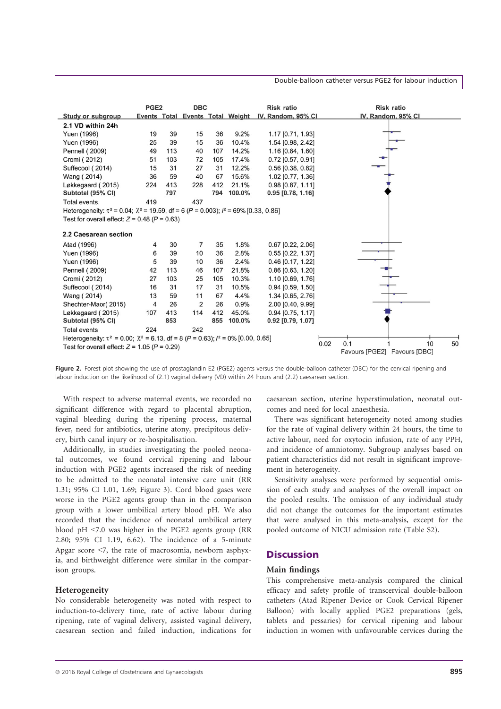#### Double-balloon catheter versus PGE2 for labour induction

|                                                                                                   | PGE <sub>2</sub> |     | <b>DBC</b> |     | <b>Risk ratio</b> |                                                     |                 | <b>Risk ratio</b>            |
|---------------------------------------------------------------------------------------------------|------------------|-----|------------|-----|-------------------|-----------------------------------------------------|-----------------|------------------------------|
| Study or subgroup                                                                                 |                  |     |            |     |                   | Events Total Events Total Weight IV, Random, 95% CI |                 | IV, Random, 95% CI           |
| 2.1 VD within 24h                                                                                 |                  |     |            |     |                   |                                                     |                 |                              |
| Yuen (1996)                                                                                       | 19               | 39  | 15         | 36  | 9.2%              | 1.17 [0.71, 1.93]                                   |                 |                              |
| Yuen (1996)                                                                                       | 25               | 39  | 15         | 36  | 10.4%             | 1.54 [0.98, 2.42]                                   |                 |                              |
| <b>Pennell (2009)</b>                                                                             | 49               | 113 | 40         | 107 | 14.2%             | 1.16 [0.84, 1.60]                                   |                 |                              |
| Cromi (2012)                                                                                      | 51               | 103 | 72         | 105 | 17.4%             | 0.72 [0.57, 0.91]                                   |                 |                              |
| Suffecool (2014)                                                                                  | 15               | 31  | 27         | 31  | 12.2%             | 0.56 [0.38, 0.82]                                   |                 |                              |
| Wang (2014)                                                                                       | 36               | 59  | 40         | 67  | 15.6%             | 1.02 [0.77, 1.36]                                   |                 |                              |
| Løkkegaard (2015)                                                                                 | 224              | 413 | 228        | 412 | 21.1%             | 0.98 [0.87, 1.11]                                   |                 |                              |
| Subtotal (95% CI)                                                                                 |                  | 797 |            | 794 | 100.0%            | $0.95$ [0.78, 1.16]                                 |                 |                              |
| <b>Total events</b>                                                                               | 419              |     | 437        |     |                   |                                                     |                 |                              |
| Heterogeneity: $\tau^2 = 0.04$ ; $\chi^2 = 19.59$ , df = 6 (P = 0.003); $l^2 = 69\%$ [0.33, 0.86] |                  |     |            |     |                   |                                                     |                 |                              |
| Test for overall effect: $Z = 0.48$ ( $P = 0.63$ )                                                |                  |     |            |     |                   |                                                     |                 |                              |
| 2.2 Caesarean section                                                                             |                  |     |            |     |                   |                                                     |                 |                              |
| Atad (1996)                                                                                       | 4                | 30  | 7          | 35  | 1.8%              | $0.67$ [0.22, 2.06]                                 |                 |                              |
| Yuen (1996)                                                                                       | 6                | 39  | 10         | 36  | 2.8%              | $0.55$ [0.22, 1.37]                                 |                 |                              |
| Yuen (1996)                                                                                       | 5                | 39  | 10         | 36  | 2.4%              | 0.46 [0.17, 1.22]                                   |                 |                              |
| <b>Pennell (2009)</b>                                                                             | 42               | 113 | 46         | 107 | 21.8%             | $0.86$ [0.63, 1.20]                                 |                 |                              |
| Cromi (2012)                                                                                      | 27               | 103 | 25         | 105 | 10.3%             | 1.10 [0.69, 1.76]                                   |                 |                              |
| Suffecool (2014)                                                                                  | 16               | 31  | 17         | 31  | 10.5%             | 0.94 [0.59, 1.50]                                   |                 |                              |
| Wang (2014)                                                                                       | 13               | 59  | 11         | 67  | 4.4%              | 1.34 [0.65, 2.76]                                   |                 |                              |
| Shechter-Maor(2015)                                                                               | 4                | 26  | 2          | 26  | 0.9%              | 2.00 [0.40, 9.99]                                   |                 |                              |
| Løkkegaard (2015)                                                                                 | 107              | 413 | 114        | 412 | 45.0%             | 0.94 [0.75, 1.17]                                   |                 |                              |
| Subtotal (95% CI)                                                                                 |                  | 853 |            | 855 | 100.0%            | $0.92$ [0.79, 1.07]                                 |                 |                              |
| <b>Total events</b>                                                                               | 224              |     | 242        |     |                   |                                                     |                 |                              |
| Heterogeneity: $\tau^2 = 0.00$ ; $\chi^2 = 6.13$ , df = 8 (P = 0.63); $l^2 = 0\%$ [0.00, 0.65]    |                  |     |            |     |                   |                                                     |                 |                              |
| Test for overall effect: $Z = 1.05 (P = 0.29)$                                                    |                  |     |            |     |                   | 0.02                                                | 0.1<br>10<br>50 |                              |
|                                                                                                   |                  |     |            |     |                   |                                                     |                 | Favours [PGE2] Favours [DBC] |

Figure 2. Forest plot showing the use of prostaglandin E2 (PGE2) agents versus the double-balloon catheter (DBC) for the cervical ripening and labour induction on the likelihood of (2.1) vaginal delivery (VD) within 24 hours and (2.2) caesarean section.

With respect to adverse maternal events, we recorded no significant difference with regard to placental abruption, vaginal bleeding during the ripening process, maternal fever, need for antibiotics, uterine atony, precipitous delivery, birth canal injury or re-hospitalisation.

Additionally, in studies investigating the pooled neonatal outcomes, we found cervical ripening and labour induction with PGE2 agents increased the risk of needing to be admitted to the neonatal intensive care unit (RR 1.31; 95% CI 1.01, 1.69; Figure 3). Cord blood gases were worse in the PGE2 agents group than in the comparison group with a lower umbilical artery blood pH. We also recorded that the incidence of neonatal umbilical artery blood pH <7.0 was higher in the PGE2 agents group (RR 2.80; 95% CI 1.19, 6.62). The incidence of a 5-minute Apgar score <7, the rate of macrosomia, newborn asphyxia, and birthweight difference were similar in the comparison groups.

#### Heterogeneity

No considerable heterogeneity was noted with respect to induction-to-delivery time, rate of active labour during ripening, rate of vaginal delivery, assisted vaginal delivery, caesarean section and failed induction, indications for

caesarean section, uterine hyperstimulation, neonatal outcomes and need for local anaesthesia.

There was significant heterogeneity noted among studies for the rate of vaginal delivery within 24 hours, the time to active labour, need for oxytocin infusion, rate of any PPH, and incidence of amniotomy. Subgroup analyses based on patient characteristics did not result in significant improvement in heterogeneity.

Sensitivity analyses were performed by sequential omission of each study and analyses of the overall impact on the pooled results. The omission of any individual study did not change the outcomes for the important estimates that were analysed in this meta-analysis, except for the pooled outcome of NICU admission rate (Table S2).

# **Discussion**

#### Main findings

This comprehensive meta-analysis compared the clinical efficacy and safety profile of transcervical double-balloon catheters (Atad Ripener Device or Cook Cervical Ripener Balloon) with locally applied PGE2 preparations (gels, tablets and pessaries) for cervical ripening and labour induction in women with unfavourable cervices during the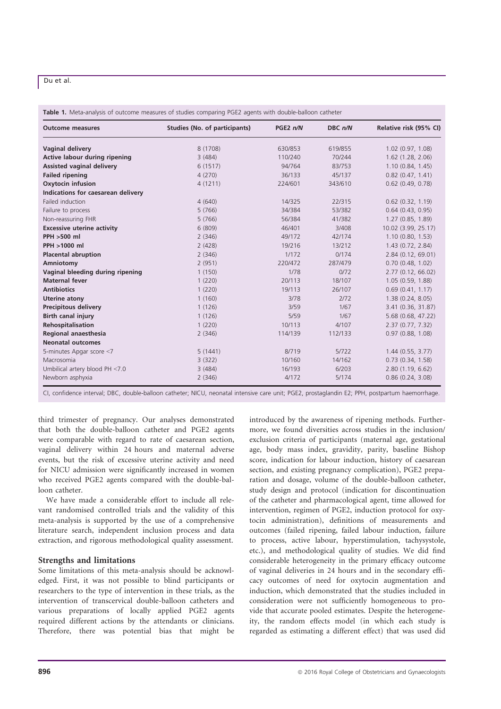| <b>Outcome measures</b>            | Studies (No. of participants) | PGE2 n/N | DBC $n/N$ | Relative risk (95% CI) |
|------------------------------------|-------------------------------|----------|-----------|------------------------|
| Vaginal delivery                   | 8 (1708)                      | 630/853  | 619/855   | 1.02(0.97, 1.08)       |
| Active labour during ripening      | 3(484)                        | 110/240  | 70/244    | $1.62$ $(1.28, 2.06)$  |
| Assisted vaginal delivery          | 6(1517)                       | 94/764   | 83/753    | 1.10(0.84, 1.45)       |
| <b>Failed ripening</b>             | 4(270)                        | 36/133   | 45/137    | 0.82(0.47, 1.41)       |
| Oxytocin infusion                  | 4(1211)                       | 224/601  | 343/610   | $0.62$ $(0.49, 0.78)$  |
| Indications for caesarean delivery |                               |          |           |                        |
| Failed induction                   | 4(640)                        | 14/325   | 22/315    | $0.62$ $(0.32, 1.19)$  |
| Failure to process                 | 5(766)                        | 34/384   | 53/382    | 0.64(0.43, 0.95)       |
| Non-reassuring FHR                 | 5(766)                        | 56/384   | 41/382    | 1.27(0.85, 1.89)       |
| <b>Excessive uterine activity</b>  | 6(809)                        | 46/401   | 3/408     | 10.02 (3.99, 25.17)    |
| PPH >500 ml                        | 2(346)                        | 49/172   | 42/174    | 1.10(0.80, 1.53)       |
| PPH >1000 ml                       | 2(428)                        | 19/216   | 13/212    | 1.43(0.72, 2.84)       |
| <b>Placental abruption</b>         | 2(346)                        | 1/172    | 0/174     | 2.84 (0.12, 69.01)     |
| Amniotomy                          | 2(951)                        | 220/472  | 287/479   | 0.70(0.48, 1.02)       |
| Vaginal bleeding during ripening   | 1(150)                        | 1/78     | 0/72      | 2.77(0.12, 66.02)      |
| <b>Maternal fever</b>              | 1(220)                        | 20/113   | 18/107    | 1.05 (0.59, 1.88)      |
| <b>Antibiotics</b>                 | 1(220)                        | 19/113   | 26/107    | 0.69(0.41, 1.17)       |
| Uterine atony                      | 1(160)                        | 3/78     | 2/72      | 1.38(0.24, 8.05)       |
| <b>Precipitous delivery</b>        | 1(126)                        | 3/59     | 1/67      | 3.41(0.36, 31.87)      |
| Birth canal injury                 | 1(126)                        | 5/59     | 1/67      | 5.68 (0.68, 47.22)     |
| Rehospitalisation                  | 1(220)                        | 10/113   | 4/107     | 2.37(0.77, 7.32)       |
| Regional anaesthesia               | 2(346)                        | 114/139  | 112/133   | 0.97(0.88, 1.08)       |
| <b>Neonatal outcomes</b>           |                               |          |           |                        |
| 5-minutes Apgar score <7           | 5(1441)                       | 8/719    | 5/722     | 1.44(0.55, 3.77)       |
| Macrosomia                         | 3(322)                        | 10/160   | 14/162    | 0.73(0.34, 1.58)       |
| Umbilical artery blood PH <7.0     | 3(484)                        | 16/193   | 6/203     | 2.80(1.19, 6.62)       |
| Newborn asphyxia                   | 2(346)                        | 4/172    | 5/174     | 0.86(0.24, 3.08)       |

Table 1. Meta-analysis of outcome measures of studies comparing PGE2 agents with double-balloon catheter

CI, confidence interval; DBC, double-balloon catheter; NICU, neonatal intensive care unit; PGE2, prostaglandin E2; PPH, postpartum haemorrhage.

third trimester of pregnancy. Our analyses demonstrated that both the double-balloon catheter and PGE2 agents were comparable with regard to rate of caesarean section, vaginal delivery within 24 hours and maternal adverse events, but the risk of excessive uterine activity and need for NICU admission were significantly increased in women who received PGE2 agents compared with the double-balloon catheter.

We have made a considerable effort to include all relevant randomised controlled trials and the validity of this meta-analysis is supported by the use of a comprehensive literature search, independent inclusion process and data extraction, and rigorous methodological quality assessment.

#### Strengths and limitations

Some limitations of this meta-analysis should be acknowledged. First, it was not possible to blind participants or researchers to the type of intervention in these trials, as the intervention of transcervical double-balloon catheters and various preparations of locally applied PGE2 agents required different actions by the attendants or clinicians. Therefore, there was potential bias that might be introduced by the awareness of ripening methods. Furthermore, we found diversities across studies in the inclusion/ exclusion criteria of participants (maternal age, gestational age, body mass index, gravidity, parity, baseline Bishop score, indication for labour induction, history of caesarean section, and existing pregnancy complication), PGE2 preparation and dosage, volume of the double-balloon catheter, study design and protocol (indication for discontinuation of the catheter and pharmacological agent, time allowed for intervention, regimen of PGE2, induction protocol for oxytocin administration), definitions of measurements and outcomes (failed ripening, failed labour induction, failure to process, active labour, hyperstimulation, tachysystole, etc.), and methodological quality of studies. We did find considerable heterogeneity in the primary efficacy outcome of vaginal deliveries in 24 hours and in the secondary efficacy outcomes of need for oxytocin augmentation and induction, which demonstrated that the studies included in consideration were not sufficiently homogeneous to provide that accurate pooled estimates. Despite the heterogeneity, the random effects model (in which each study is regarded as estimating a different effect) that was used did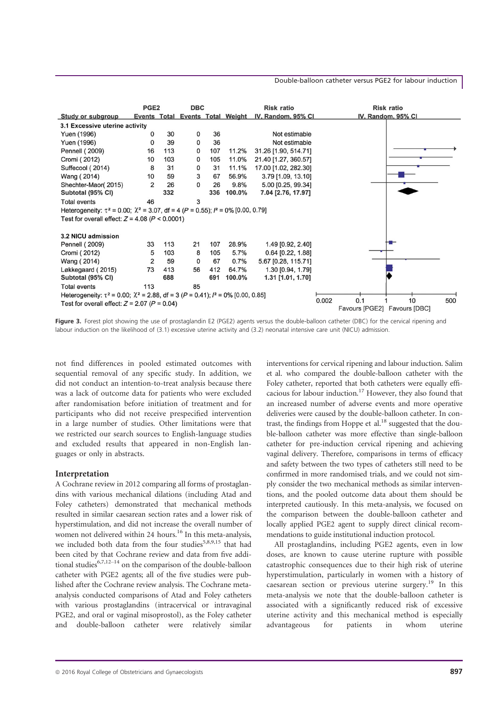## Double-balloon catheter versus PGE2 for labour induction

|                                                                                                | PGE <sub>2</sub> |     | <b>DBC</b> |     | <b>Risk ratio</b> |                                                     | <b>Risk ratio</b> |                                        |     |
|------------------------------------------------------------------------------------------------|------------------|-----|------------|-----|-------------------|-----------------------------------------------------|-------------------|----------------------------------------|-----|
| Study or subgroup                                                                              |                  |     |            |     |                   | Events Total Events Total Weight IV, Random, 95% CI |                   | IV, Random, 95% CI                     |     |
| 3.1 Excessive uterine activity                                                                 |                  |     |            |     |                   |                                                     |                   |                                        |     |
| Yuen (1996)                                                                                    | 0                | 30  | 0          | 36  |                   | Not estimable                                       |                   |                                        |     |
| Yuen (1996)                                                                                    | 0                | 39  | 0          | 36  |                   | Not estimable                                       |                   |                                        |     |
| <b>Pennell (2009)</b>                                                                          | 16               | 113 | 0          | 107 | 11.2%             | 31.26 [1.90, 514.71]                                |                   |                                        |     |
| Cromi (2012)                                                                                   | 10               | 103 | 0          | 105 | 11.0%             | 21.40 [1.27, 360.57]                                |                   |                                        |     |
| Suffecool (2014)                                                                               | 8                | 31  | 0          | 31  | 11.1%             | 17.00 [1.02, 282.30]                                |                   |                                        |     |
| Wang (2014)                                                                                    | 10               | 59  | 3          | 67  | 56.9%             | 3.79 [1.09, 13.10]                                  |                   |                                        |     |
| Shechter-Maor(2015)                                                                            | $\overline{2}$   | 26  | $\Omega$   | 26  | 9.8%              | 5.00 [0.25, 99.34]                                  |                   |                                        |     |
| Subtotal (95% CI)                                                                              |                  | 332 |            | 336 | 100.0%            | 7.04 [2.76, 17.97]                                  |                   |                                        |     |
| <b>Total events</b>                                                                            | 46               |     | 3          |     |                   |                                                     |                   |                                        |     |
| Heterogeneity: $\tau^2 = 0.00$ ; $\chi^2 = 3.07$ , df = 4 (P = 0.55); $l^2 = 0\%$ [0.00, 0.79] |                  |     |            |     |                   |                                                     |                   |                                        |     |
| Test for overall effect: $Z = 4.08$ ( $P < 0.0001$ )                                           |                  |     |            |     |                   |                                                     |                   |                                        |     |
|                                                                                                |                  |     |            |     |                   |                                                     |                   |                                        |     |
| 3.2 NICU admission                                                                             |                  |     |            |     |                   |                                                     |                   |                                        |     |
| <b>Pennell (2009)</b>                                                                          | 33               | 113 | 21         | 107 | 28.9%             | 1.49 [0.92, 2.40]                                   |                   |                                        |     |
| Cromi (2012)                                                                                   | 5                | 103 | 8          | 105 | 5.7%              | 0.64 [0.22, 1.88]                                   |                   |                                        |     |
| Wang (2014)                                                                                    | 2                | 59  | 0          | 67  | 0.7%              | 5.67 [0.28, 115.71]                                 |                   |                                        |     |
| Løkkegaard (2015)                                                                              | 73               | 413 | 56         | 412 | 64.7%             | 1.30 [0.94, 1.79]                                   |                   |                                        |     |
| Subtotal (95% CI)                                                                              |                  | 688 |            | 691 | 100.0%            | 1.31 [1.01, 1.70]                                   |                   |                                        |     |
| <b>Total events</b>                                                                            | 113              |     | 85         |     |                   |                                                     |                   |                                        |     |
| Heterogeneity: $\tau^2$ = 0.00; $\chi^2$ = 2.88, df = 3 (P = 0.41); $l^2$ = 0% [0.00, 0.85]    |                  |     |            |     |                   |                                                     |                   |                                        |     |
| Test for overall effect: $Z = 2.07$ ( $P = 0.04$ )                                             |                  |     |            |     |                   |                                                     | 0.002             | 0.1<br>10                              | 500 |
|                                                                                                |                  |     |            |     |                   |                                                     |                   | Favours [PGE2]<br><b>Favours [DBC]</b> |     |

Figure 3. Forest plot showing the use of prostaglandin E2 (PGE2) agents versus the double-balloon catheter (DBC) for the cervical ripening and labour induction on the likelihood of (3.1) excessive uterine activity and (3.2) neonatal intensive care unit (NICU) admission.

not find differences in pooled estimated outcomes with sequential removal of any specific study. In addition, we did not conduct an intention-to-treat analysis because there was a lack of outcome data for patients who were excluded after randomisation before initiation of treatment and for participants who did not receive prespecified intervention in a large number of studies. Other limitations were that we restricted our search sources to English-language studies and excluded results that appeared in non-English languages or only in abstracts.

#### Interpretation

A Cochrane review in 2012 comparing all forms of prostaglandins with various mechanical dilations (including Atad and Foley catheters) demonstrated that mechanical methods resulted in similar caesarean section rates and a lower risk of hyperstimulation, and did not increase the overall number of women not delivered within 24 hours.<sup>16</sup> In this meta-analysis, we included both data from the four studies $5,8,9,15$  that had been cited by that Cochrane review and data from five additional studies $6,7,12-14$  on the comparison of the double-balloon catheter with PGE2 agents; all of the five studies were published after the Cochrane review analysis. The Cochrane metaanalysis conducted comparisons of Atad and Foley catheters with various prostaglandins (intracervical or intravaginal PGE2, and oral or vaginal misoprostol), as the Foley catheter and double-balloon catheter were relatively similar

interventions for cervical ripening and labour induction. Salim et al. who compared the double-balloon catheter with the Foley catheter, reported that both catheters were equally efficacious for labour induction.<sup>17</sup> However, they also found that an increased number of adverse events and more operative deliveries were caused by the double-balloon catheter. In contrast, the findings from Hoppe et al.<sup>18</sup> suggested that the double-balloon catheter was more effective than single-balloon catheter for pre-induction cervical ripening and achieving vaginal delivery. Therefore, comparisons in terms of efficacy and safety between the two types of catheters still need to be confirmed in more randomised trials, and we could not simply consider the two mechanical methods as similar interventions, and the pooled outcome data about them should be interpreted cautiously. In this meta-analysis, we focused on the comparison between the double-balloon catheter and locally applied PGE2 agent to supply direct clinical recommendations to guide institutional induction protocol.

All prostaglandins, including PGE2 agents, even in low doses, are known to cause uterine rupture with possible catastrophic consequences due to their high risk of uterine hyperstimulation, particularly in women with a history of caesarean section or previous uterine surgery.<sup>19</sup> In this meta-analysis we note that the double-balloon catheter is associated with a significantly reduced risk of excessive uterine activity and this mechanical method is especially advantageous for patients in whom uterine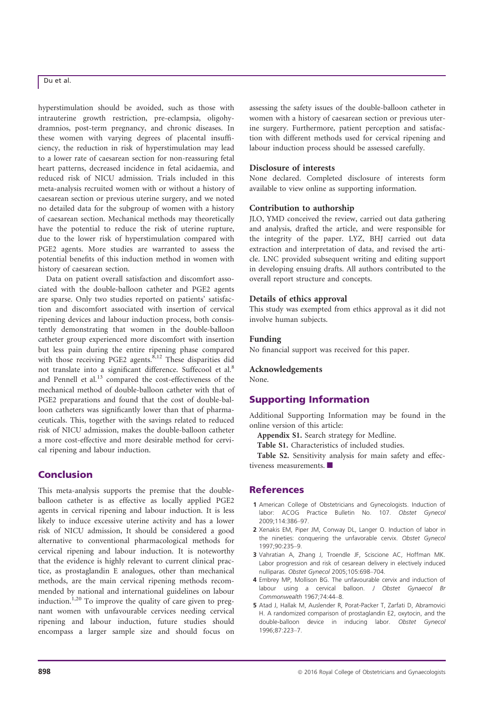hyperstimulation should be avoided, such as those with intrauterine growth restriction, pre-eclampsia, oligohydramnios, post-term pregnancy, and chronic diseases. In these women with varying degrees of placental insufficiency, the reduction in risk of hyperstimulation may lead to a lower rate of caesarean section for non-reassuring fetal heart patterns, decreased incidence in fetal acidaemia, and reduced risk of NICU admission. Trials included in this meta-analysis recruited women with or without a history of caesarean section or previous uterine surgery, and we noted no detailed data for the subgroup of women with a history of caesarean section. Mechanical methods may theoretically have the potential to reduce the risk of uterine rupture, due to the lower risk of hyperstimulation compared with PGE2 agents. More studies are warranted to assess the potential benefits of this induction method in women with history of caesarean section.

Data on patient overall satisfaction and discomfort associated with the double-balloon catheter and PGE2 agents are sparse. Only two studies reported on patients' satisfaction and discomfort associated with insertion of cervical ripening devices and labour induction process, both consistently demonstrating that women in the double-balloon catheter group experienced more discomfort with insertion but less pain during the entire ripening phase compared with those receiving PGE2 agents.<sup>8,12</sup> These disparities did not translate into a significant difference. Suffecool et al.<sup>8</sup> and Pennell et al.<sup>13</sup> compared the cost-effectiveness of the mechanical method of double-balloon catheter with that of PGE2 preparations and found that the cost of double-balloon catheters was significantly lower than that of pharmaceuticals. This, together with the savings related to reduced risk of NICU admission, makes the double-balloon catheter a more cost-effective and more desirable method for cervical ripening and labour induction.

# Conclusion

This meta-analysis supports the premise that the doubleballoon catheter is as effective as locally applied PGE2 agents in cervical ripening and labour induction. It is less likely to induce excessive uterine activity and has a lower risk of NICU admission, It should be considered a good alternative to conventional pharmacological methods for cervical ripening and labour induction. It is noteworthy that the evidence is highly relevant to current clinical practice, as prostaglandin E analogues, other than mechanical methods, are the main cervical ripening methods recommended by national and international guidelines on labour induction.<sup>1,20</sup> To improve the quality of care given to pregnant women with unfavourable cervices needing cervical ripening and labour induction, future studies should encompass a larger sample size and should focus on

assessing the safety issues of the double-balloon catheter in women with a history of caesarean section or previous uterine surgery. Furthermore, patient perception and satisfaction with different methods used for cervical ripening and labour induction process should be assessed carefully.

## Disclosure of interests

None declared. Completed disclosure of interests form available to view online as supporting information.

## Contribution to authorship

JLO, YMD conceived the review, carried out data gathering and analysis, drafted the article, and were responsible for the integrity of the paper. LYZ, BHJ carried out data extraction and interpretation of data, and revised the article. LNC provided subsequent writing and editing support in developing ensuing drafts. All authors contributed to the overall report structure and concepts.

## Details of ethics approval

This study was exempted from ethics approval as it did not involve human subjects.

## Funding

No financial support was received for this paper.

# Acknowledgements

None.

# Supporting Information

Additional Supporting Information may be found in the online version of this article:

Appendix S1. Search strategy for Medline.

Table S1. Characteristics of included studies.

Table S2. Sensitivity analysis for main safety and effectiveness measurements.  $\blacksquare$ 

# **References**

- 1 American College of Obstetricians and Gynecologists. Induction of labor: ACOG Practice Bulletin No. 107. Obstet Gynecol 2009;114:386–97.
- 2 Xenakis EM, Piper JM, Conway DL, Langer O. Induction of labor in the nineties: conquering the unfavorable cervix. Obstet Gynecol 1997;90:235–9.
- 3 Vahratian A, Zhang J, Troendle JF, Sciscione AC, Hoffman MK. Labor progression and risk of cesarean delivery in electively induced nulliparas. Obstet Gynecol 2005;105:698–704.
- 4 Embrey MP, Mollison BG. The unfavourable cervix and induction of labour using a cervical balloon. J Obstet Gynaecol Br Commonwealth 1967;74:44–8.
- 5 Atad J, Hallak M, Auslender R, Porat-Packer T, Zarfati D, Abramovici H. A randomized comparison of prostaglandin E2, oxytocin, and the double-balloon device in inducing labor. Obstet Gynecol 1996;87:223–7.